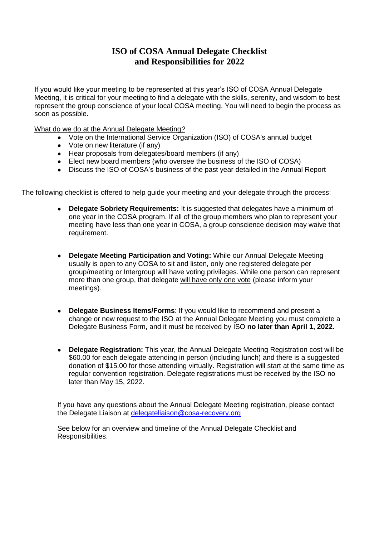## **ISO of COSA Annual Delegate Checklist and Responsibilities for 2022**

If you would like your meeting to be represented at this year's ISO of COSA Annual Delegate Meeting, it is critical for your meeting to find a delegate with the skills, serenity, and wisdom to best represent the group conscience of your local COSA meeting. You will need to begin the process as soon as possible.

What do we do at the Annual Delegate Meeting*?*

- Vote on the International Service Organization (ISO) of COSA's annual budget
- Vote on new literature (if any)
- Hear proposals from delegates/board members (if any)
- Elect new board members (who oversee the business of the ISO of COSA)
- Discuss the ISO of COSA's business of the past year detailed in the Annual Report

The following checklist is offered to help guide your meeting and your delegate through the process:

- **Delegate Sobriety Requirements:** It is suggested that delegates have a minimum of one year in the COSA program. If all of the group members who plan to represent your meeting have less than one year in COSA, a group conscience decision may waive that requirement.
- **Delegate Meeting Participation and Voting: While our Annual Delegate Meeting** usually is open to any COSA to sit and listen, only one registered delegate per group/meeting or Intergroup will have voting privileges. While one person can represent more than one group, that delegate will have only one vote (please inform your meetings).
- **Delegate Business Items/Forms**: If you would like to recommend and present a change or new request to the ISO at the Annual Delegate Meeting you must complete a Delegate Business Form, and it must be received by ISO **no later than April 1, 2022.**
- **Delegate Registration:** This year, the Annual Delegate Meeting Registration cost will be \$60.00 for each delegate attending in person (including lunch) and there is a suggested donation of \$15.00 for those attending virtually. Registration will start at the same time as regular convention registration. Delegate registrations must be received by the ISO no later than May 15, 2022.

If you have any questions about the Annual Delegate Meeting registration, please contact the Delegate Liaison at [delegateliaison@cosa-recovery.org](mailto:delegateliaison@cosa-recovery.org)

See below for an overview and timeline of the Annual Delegate Checklist and Responsibilities.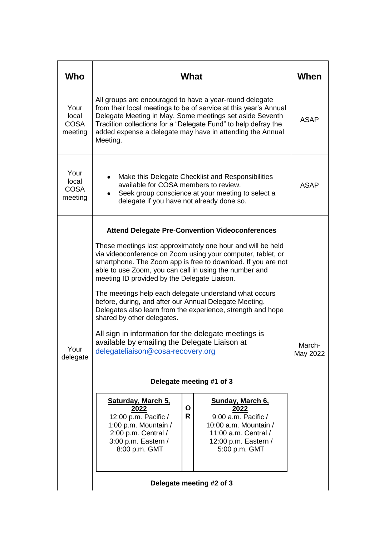| Who                                     | What                                                                                                                                                                                                                                                                                                                                                                                                                                                                                                                                                                                                                                                                                                                          | When               |                                                                                                                                           |  |  |
|-----------------------------------------|-------------------------------------------------------------------------------------------------------------------------------------------------------------------------------------------------------------------------------------------------------------------------------------------------------------------------------------------------------------------------------------------------------------------------------------------------------------------------------------------------------------------------------------------------------------------------------------------------------------------------------------------------------------------------------------------------------------------------------|--------------------|-------------------------------------------------------------------------------------------------------------------------------------------|--|--|
| Your<br>local<br><b>COSA</b><br>meeting | All groups are encouraged to have a year-round delegate<br>from their local meetings to be of service at this year's Annual<br>Delegate Meeting in May. Some meetings set aside Seventh<br>Tradition collections for a "Delegate Fund" to help defray the<br>added expense a delegate may have in attending the Annual<br>Meeting.                                                                                                                                                                                                                                                                                                                                                                                            | ASAP               |                                                                                                                                           |  |  |
| Your<br>local<br><b>COSA</b><br>meeting | Make this Delegate Checklist and Responsibilities<br>available for COSA members to review.<br>Seek group conscience at your meeting to select a<br>delegate if you have not already done so.                                                                                                                                                                                                                                                                                                                                                                                                                                                                                                                                  | ASAP               |                                                                                                                                           |  |  |
| Your<br>delegate                        | <b>Attend Delegate Pre-Convention Videoconferences</b><br>These meetings last approximately one hour and will be held<br>via videoconference on Zoom using your computer, tablet, or<br>smartphone. The Zoom app is free to download. If you are not<br>able to use Zoom, you can call in using the number and<br>meeting ID provided by the Delegate Liaison.<br>The meetings help each delegate understand what occurs<br>before, during, and after our Annual Delegate Meeting.<br>Delegates also learn from the experience, strength and hope<br>shared by other delegates.<br>All sign in information for the delegate meetings is<br>available by emailing the Delegate Liaison at<br>delegateliaison@cosa-recovery.org | March-<br>May 2022 |                                                                                                                                           |  |  |
|                                         | Delegate meeting #1 of 3                                                                                                                                                                                                                                                                                                                                                                                                                                                                                                                                                                                                                                                                                                      |                    |                                                                                                                                           |  |  |
|                                         | Saturday, March 5,<br>2022<br>12:00 p.m. Pacific /<br>1:00 p.m. Mountain /<br>2:00 p.m. Central /<br>3:00 p.m. Eastern /<br>8:00 p.m. GMT                                                                                                                                                                                                                                                                                                                                                                                                                                                                                                                                                                                     | O<br>R             | Sunday, March 6,<br>2022<br>9:00 a.m. Pacific /<br>10:00 a.m. Mountain /<br>11:00 a.m. Central /<br>12:00 p.m. Eastern /<br>5:00 p.m. GMT |  |  |
|                                         | Delegate meeting #2 of 3                                                                                                                                                                                                                                                                                                                                                                                                                                                                                                                                                                                                                                                                                                      |                    |                                                                                                                                           |  |  |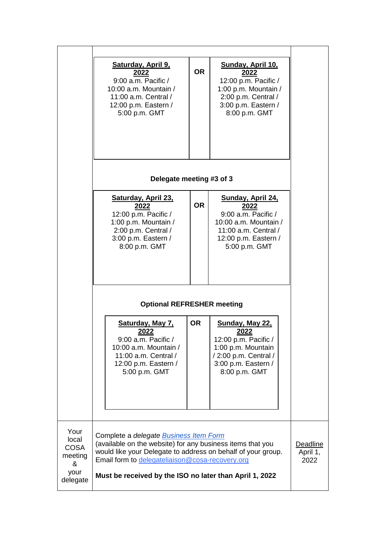|                                                                  | <b>Saturday, April 9,</b><br>2022<br>9:00 a.m. Pacific /<br>10:00 a.m. Mountain /<br>11:00 a.m. Central /<br>12:00 p.m. Eastern /<br>5:00 p.m. GMT                                                                                                                                        | <b>OR</b> | Sunday, April 10,<br>2022<br>12:00 p.m. Pacific /<br>1:00 p.m. Mountain /<br>2:00 p.m. Central /<br>3:00 p.m. Eastern /<br>8:00 p.m. GMT           |  |  |  |  |
|------------------------------------------------------------------|-------------------------------------------------------------------------------------------------------------------------------------------------------------------------------------------------------------------------------------------------------------------------------------------|-----------|----------------------------------------------------------------------------------------------------------------------------------------------------|--|--|--|--|
|                                                                  | Delegate meeting #3 of 3                                                                                                                                                                                                                                                                  |           |                                                                                                                                                    |  |  |  |  |
|                                                                  | Saturday, April 23,<br><u>2022</u><br>12:00 p.m. Pacific /<br>1:00 p.m. Mountain /<br>2:00 p.m. Central /<br>3:00 p.m. Eastern /<br>8:00 p.m. GMT                                                                                                                                         | <b>OR</b> | Sunday, April 24,<br><u> 2022</u><br>9:00 a.m. Pacific /<br>10:00 a.m. Mountain /<br>11:00 a.m. Central /<br>12:00 p.m. Eastern /<br>5:00 p.m. GMT |  |  |  |  |
|                                                                  | <b>Optional REFRESHER meeting</b>                                                                                                                                                                                                                                                         |           |                                                                                                                                                    |  |  |  |  |
|                                                                  | Saturday, May 7,<br><u> 2022</u><br>$9:00$ a.m. Pacific /<br>10:00 a.m. Mountain /<br>11:00 a.m. Central /<br>12:00 p.m. Eastern /<br>5:00 p.m. GMT                                                                                                                                       | <b>OR</b> | Sunday, May 22,<br><u> 2022</u><br>12:00 p.m. Pacific /<br>1:00 p.m. Mountain<br>/ 2:00 p.m. Central /<br>3:00 p.m. Eastern /<br>8:00 p.m. GMT     |  |  |  |  |
| Your<br>local<br><b>COSA</b><br>meeting<br>&<br>your<br>delegate | Complete a delegate <b>Business Item Form</b><br>(available on the website) for any business items that you<br>would like your Delegate to address on behalf of your group.<br>Email form to delegateliaison@cosa-recovery.org<br>Must be received by the ISO no later than April 1, 2022 |           |                                                                                                                                                    |  |  |  |  |